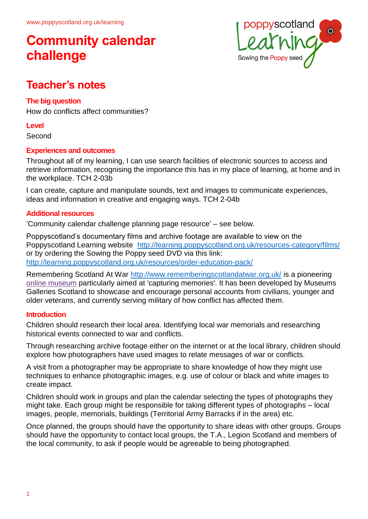

### **Teacher's notes**

### **The big question**

How do conflicts affect communities?

#### **Level**

Second

### **Experiences and outcomes**

Throughout all of my learning, I can use search facilities of electronic sources to access and retrieve information, recognising the importance this has in my place of learning, at home and in the workplace. TCH 2-03b

I can create, capture and manipulate sounds, text and images to communicate experiences, ideas and information in creative and engaging ways. TCH 2-04b

### **Additional resources**

'Community calendar challenge planning page resource' – see below.

Poppyscotland's documentary films and archive footage are available to view on the Poppyscotland Learning website <http://learning.poppyscotland.org.uk/resources-category/films/> or by ordering the Sowing the Poppy seed DVD via this link: <http://learning.poppyscotland.org.uk/resources/order-education-pack/>

Remembering Scotland At War<http://www.rememberingscotlandatwar.org.uk/> is a pioneering [online museum](http://www.rememberingscotlandatwar.org.uk/online-museum) particularly aimed at 'capturing memories'. It has been developed by Museums Galleries Scotland to showcase and encourage personal accounts from civilians, younger and older veterans, and currently serving military of how conflict has affected them.

#### **Introduction**

Children should research their local area. Identifying local war memorials and researching historical events connected to war and conflicts.

Through researching archive footage either on the internet or at the local library, children should explore how photographers have used images to relate messages of war or conflicts.

A visit from a photographer may be appropriate to share knowledge of how they might use techniques to enhance photographic images, e.g. use of colour or black and white images to create impact.

Children should work in groups and plan the calendar selecting the types of photographs they might take. Each group might be responsible for taking different types of photographs – local images, people, memorials, buildings (Territorial Army Barracks if in the area) etc.

Once planned, the groups should have the opportunity to share ideas with other groups. Groups should have the opportunity to contact local groups, the T.A., Legion Scotland and members of the local community, to ask if people would be agreeable to being photographed.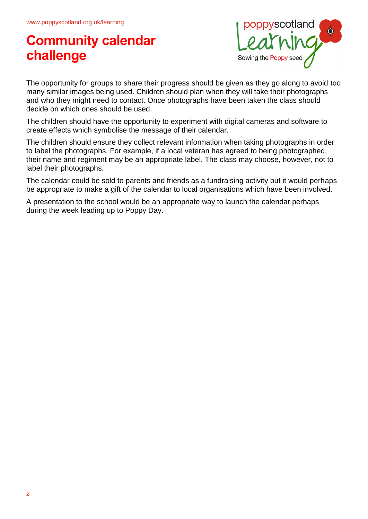

The opportunity for groups to share their progress should be given as they go along to avoid too many similar images being used. Children should plan when they will take their photographs and who they might need to contact. Once photographs have been taken the class should decide on which ones should be used.

The children should have the opportunity to experiment with digital cameras and software to create effects which symbolise the message of their calendar.

The children should ensure they collect relevant information when taking photographs in order to label the photographs. For example, if a local veteran has agreed to being photographed, their name and regiment may be an appropriate label. The class may choose, however, not to label their photographs.

The calendar could be sold to parents and friends as a fundraising activity but it would perhaps be appropriate to make a gift of the calendar to local organisations which have been involved.

A presentation to the school would be an appropriate way to launch the calendar perhaps during the week leading up to Poppy Day.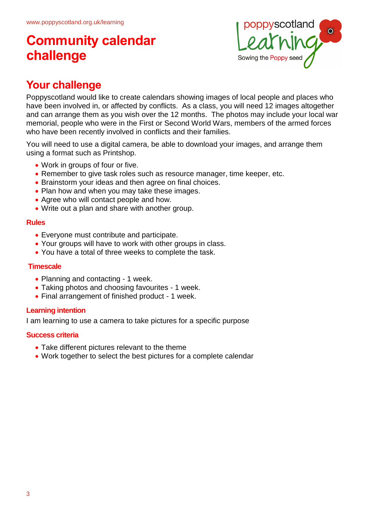

### **Your challenge**

Poppyscotland would like to create calendars showing images of local people and places who have been involved in, or affected by conflicts. As a class, you will need 12 images altogether and can arrange them as you wish over the 12 months. The photos may include your local war memorial, people who were in the First or Second World Wars, members of the armed forces who have been recently involved in conflicts and their families.

You will need to use a digital camera, be able to download your images, and arrange them using a format such as Printshop.

- Work in groups of four or five.
- Remember to give task roles such as resource manager, time keeper, etc.
- Brainstorm your ideas and then agree on final choices.
- Plan how and when you may take these images.
- Agree who will contact people and how.
- Write out a plan and share with another group.

### **Rules**

- Everyone must contribute and participate.
- Your groups will have to work with other groups in class.
- You have a total of three weeks to complete the task.

### **Timescale**

- Planning and contacting 1 week.
- Taking photos and choosing favourites 1 week.
- Final arrangement of finished product 1 week.

### **Learning intention**

I am learning to use a camera to take pictures for a specific purpose

### **Success criteria**

- Take different pictures relevant to the theme
- Work together to select the best pictures for a complete calendar